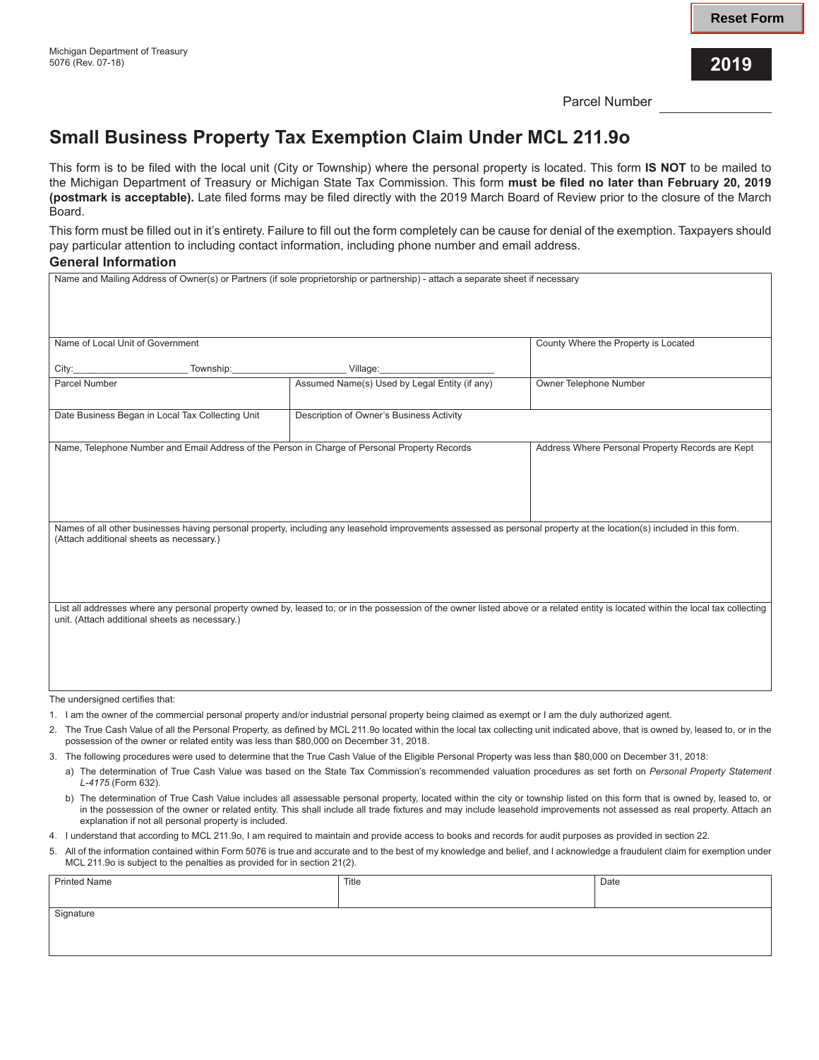Parcel Number

## **Small Business Property Tax Exemption Claim Under MCL 211.9o**

This form is to be filed with the local unit (City or Township) where the personal property is located. This form **IS NOT** to be mailed to the Michigan Department of Treasury or Michigan State Tax Commission. This form **must be filed no later than February 20, 2019 (postmark is acceptable).** Late filed forms may be filed directly with the 2019 March Board of Review prior to the closure of the March Board.

This form must be filled out in it's entirety. Failure to fill out the form completely can be cause for denial of the exemption. Taxpayers should pay particular attention to including contact information, including phone number and email address.

## **General Information**

| Name and Mailing Address of Owner(s) or Partners (if sole proprietorship or partnership) - attach a separate sheet if necessary                                                                                                     |                                               |                                                  |  |  |
|-------------------------------------------------------------------------------------------------------------------------------------------------------------------------------------------------------------------------------------|-----------------------------------------------|--------------------------------------------------|--|--|
|                                                                                                                                                                                                                                     |                                               |                                                  |  |  |
|                                                                                                                                                                                                                                     |                                               |                                                  |  |  |
|                                                                                                                                                                                                                                     |                                               |                                                  |  |  |
| Name of Local Unit of Government                                                                                                                                                                                                    |                                               | County Where the Property is Located             |  |  |
| City:<br>Township:                                                                                                                                                                                                                  | Village:                                      |                                                  |  |  |
| Parcel Number                                                                                                                                                                                                                       | Assumed Name(s) Used by Legal Entity (if any) | Owner Telephone Number                           |  |  |
|                                                                                                                                                                                                                                     |                                               |                                                  |  |  |
| Date Business Began in Local Tax Collecting Unit                                                                                                                                                                                    | Description of Owner's Business Activity      |                                                  |  |  |
| Name, Telephone Number and Email Address of the Person in Charge of Personal Property Records                                                                                                                                       |                                               | Address Where Personal Property Records are Kept |  |  |
|                                                                                                                                                                                                                                     |                                               |                                                  |  |  |
|                                                                                                                                                                                                                                     |                                               |                                                  |  |  |
|                                                                                                                                                                                                                                     |                                               |                                                  |  |  |
|                                                                                                                                                                                                                                     |                                               |                                                  |  |  |
| Names of all other businesses having personal property, including any leasehold improvements assessed as personal property at the location(s) included in this form.<br>(Attach additional sheets as necessary.)                    |                                               |                                                  |  |  |
|                                                                                                                                                                                                                                     |                                               |                                                  |  |  |
|                                                                                                                                                                                                                                     |                                               |                                                  |  |  |
|                                                                                                                                                                                                                                     |                                               |                                                  |  |  |
|                                                                                                                                                                                                                                     |                                               |                                                  |  |  |
| List all addresses where any personal property owned by, leased to, or in the possession of the owner listed above or a related entity is located within the local tax collecting<br>unit. (Attach additional sheets as necessary.) |                                               |                                                  |  |  |
|                                                                                                                                                                                                                                     |                                               |                                                  |  |  |
|                                                                                                                                                                                                                                     |                                               |                                                  |  |  |
|                                                                                                                                                                                                                                     |                                               |                                                  |  |  |
|                                                                                                                                                                                                                                     |                                               |                                                  |  |  |
|                                                                                                                                                                                                                                     |                                               |                                                  |  |  |

The undersigned certifies that:

- 1. I am the owner of the commercial personal property and/or industrial personal property being claimed as exempt or I am the duly authorized agent.
- 2. The True Cash Value of all the Personal Property, as defined by MCL 211.9o located within the local tax collecting unit indicated above, that is owned by, leased to, or in the possession of the owner or related entity was less than \$80,000 on December 31, 2018.
- 3. The following procedures were used to determine that the True Cash Value of the Eligible Personal Property was less than \$80,000 on December 31, 2018:
- a) The determination of True Cash Value was based on the State Tax Commission's recommended valuation procedures as set forth on *Personal Property Statement L-4175* (Form 632).
- b) The determination of True Cash Value includes all assessable personal property, located within the city or township listed on this form that is owned by, leased to, or in the possession of the owner or related entity. This shall include all trade fixtures and may include leasehold improvements not assessed as real property. Attach an explanation if not all personal property is included.
- 4. I understand that according to MCL 211.9o, I am required to maintain and provide access to books and records for audit purposes as provided in section 22.
- 5. All of the information contained within Form 5076 is true and accurate and to the best of my knowledge and belief, and I acknowledge a fraudulent claim for exemption under MCL 211.9o is subject to the penalties as provided for in section 21(2).

| <b>Printed Name</b> | Title | Date |
|---------------------|-------|------|
|                     |       |      |
| Signature           |       |      |
|                     |       |      |
|                     |       |      |